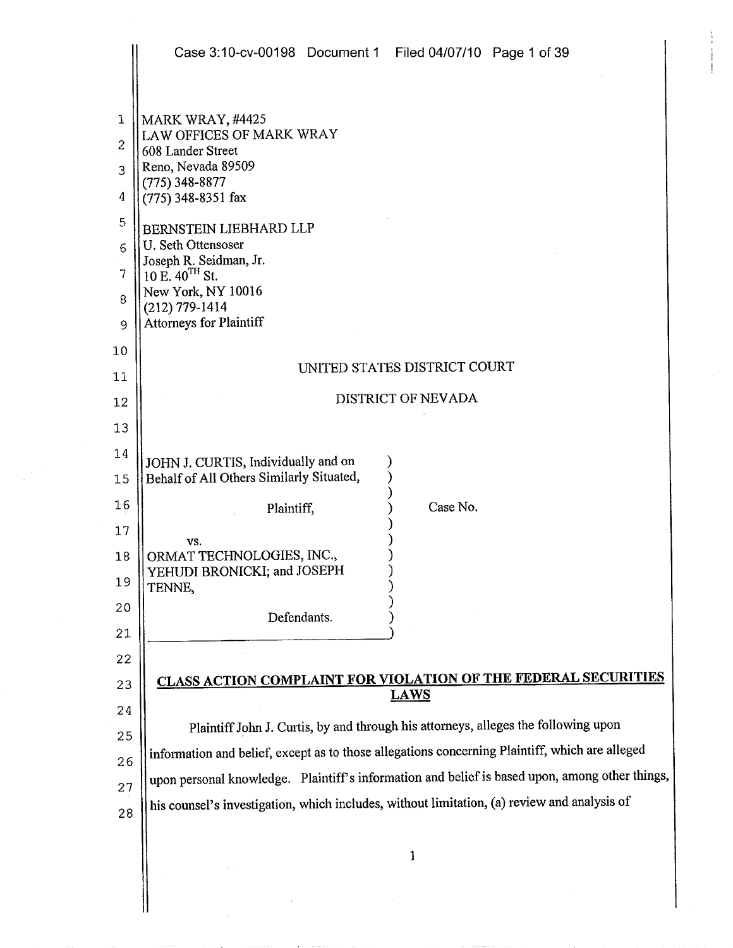|                                                        | Case 3:10-cv-00198 Document 1 Filed 04/07/10 Page 1 of 39                                                                                                                                                                                                                                                             |
|--------------------------------------------------------|-----------------------------------------------------------------------------------------------------------------------------------------------------------------------------------------------------------------------------------------------------------------------------------------------------------------------|
| 1<br>$\overline{c}$<br>3<br>4<br>5<br>6<br>7<br>8<br>9 | MARK WRAY, #4425<br>LAW OFFICES OF MARK WRAY<br>608 Lander Street<br>Reno, Nevada 89509<br>$(775)$ 348-8877<br>(775) 348-8351 fax<br>BERNSTEIN LIEBHARD LLP<br>U. Seth Ottensoser<br>Joseph R. Seidman, Jr.<br>10 E. 40 <sup>TH</sup> St.<br>New York, NY 10016<br>$(212)$ 779-1414<br><b>Attorneys for Plaintiff</b> |
| 10                                                     |                                                                                                                                                                                                                                                                                                                       |
| 11                                                     | UNITED STATES DISTRICT COURT                                                                                                                                                                                                                                                                                          |
| 12                                                     | DISTRICT OF NEVADA                                                                                                                                                                                                                                                                                                    |
| 13                                                     |                                                                                                                                                                                                                                                                                                                       |
| 14                                                     | JOHN J. CURTIS, Individually and on                                                                                                                                                                                                                                                                                   |
| 15                                                     | Behalf of All Others Similarly Situated,                                                                                                                                                                                                                                                                              |
| 16                                                     | Case No.<br>Plaintiff,                                                                                                                                                                                                                                                                                                |
| 17                                                     | VS.                                                                                                                                                                                                                                                                                                                   |
| 18<br>19                                               | ORMAT TECHNOLOGIES, INC.,<br>YEHUDI BRONICKI; and JOSEPH<br>TENNE,                                                                                                                                                                                                                                                    |
| 20                                                     | Defendants.                                                                                                                                                                                                                                                                                                           |
| 21                                                     |                                                                                                                                                                                                                                                                                                                       |
| 22                                                     |                                                                                                                                                                                                                                                                                                                       |
| 23                                                     | CLASS ACTION COMPLAINT FOR VIOLATION OF THE FEDERAL SECURITIES<br><b>LAWS</b>                                                                                                                                                                                                                                         |
| 24                                                     |                                                                                                                                                                                                                                                                                                                       |
| 25                                                     | Plaintiff John J. Curtis, by and through his attorneys, alleges the following upon                                                                                                                                                                                                                                    |
| 26                                                     | information and belief, except as to those allegations concerning Plaintiff, which are alleged                                                                                                                                                                                                                        |
| 27                                                     | upon personal knowledge. Plaintiff's information and belief is based upon, among other things,                                                                                                                                                                                                                        |
| 28                                                     | his counsel's investigation, which includes, without limitation, (a) review and analysis of                                                                                                                                                                                                                           |
|                                                        | 1                                                                                                                                                                                                                                                                                                                     |
|                                                        |                                                                                                                                                                                                                                                                                                                       |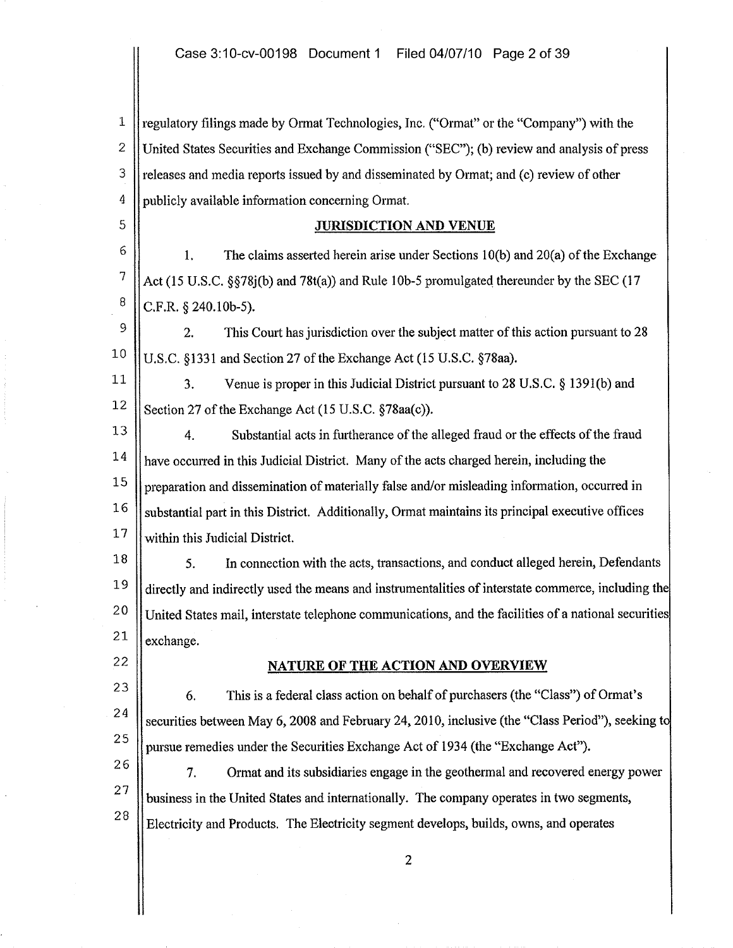1 2 3 4 regulatory filings made by Ormat Technologies, Inc. ("Ormat" or the "Company") with the United States Securities and Exchange Commission ("SEC"); (b) review and analysis of press releases and media reports issued by and disseminated by Ormat; and (c) review of other publicly available information conceming Ormat.

5

8

22

23

24

25

27

28

## JURISDICTION AND VENUE

6 7 1. The claims asserted herein arise under Sections lO(b) and 20(a) of the Exchange Act (15 U.S.C.  $\S$ 578 $(i)$ ) and 78 $t(a)$ ) and Rule 10b-5 promulgated thereunder by the SEC (17 C.F.R. § 240.10b-5).

9 10 2. This Court has jurisdiction over the subject matter of this action pursuant to 28 U.S.C. §1331 and Section 27 of the Exchange Act (15 U.S.C. §78aa).

11 12 3. Venue is proper in this Judicial District pursuant to 28 U.S.C. § 139l(b) and Section 27 of the Exchange Act (15 U.S.C. §78aa(c)).

13 14 15 16 17 4. Substantial acts in fuitherance of the alleged fraud or the effects of the fraud have occurred in this Judicial District. Many of the acts charged herein, including the preparation and dissemination of materially false and/or misleading information, occurred in substantial part in this District. Additionally, Ormat maintains its principal executive offices within this Judicial District.

18 19 20 21 5. In connection with the acts, transactions, and conduct alleged herein, Defendants directly and indirectly used the means and instrumentalities of interstate commerce, including the United States mail, interstate telephone communications, and the facilities of a national securities exchange.

## NATURE OF THE ACTION AND OVERVIEW

6. This is a federal class action on behalf of purchasers (the "Class") of Ormats securities between May 6, 2008 and February 24, 2010, inclusive (the "Class Period"), seeking t pursue remedies under the Securities Exchange Act of 1934 (the "Exchange Act").

26 7. Ormat and its subsidiaries engage in the geothermal and recovered energy power business in the United States and internationally. The company operates in two segments, Electricity and Products. The Electricity segment develops, builds, owns, and operates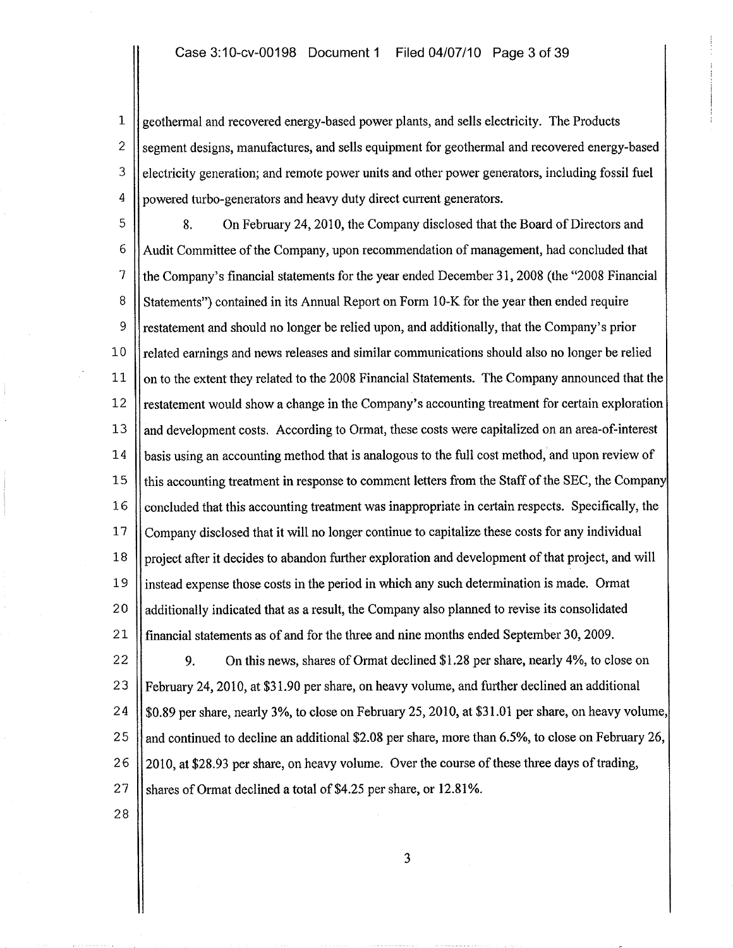1 geothermal and recovered energy-based power plants, and sells electricity. The Products 2 Segment designs, manufactures, and sells equipment for geothermal and recovered energy-based  $3$  electricity generation; and remote power units and other power generators, including fossil fuel <sup>4</sup> | powered turbo-generators and heavy duty direct current generators.

5 8. On February 24, 2010, the Company disclosed that the Board of Directors and 6 Audit Committee of the Company, upon recommendation of management, had concluded that 7 the Company's financial statements for the year ended December 31, 2008 (the "2008 Financial 8 Statements") contained in its Annual Report on Form 10-K for the year then ended require 9 restatement and should no longer be relied upon, and additionally, that the Company's prior 10 | related earnings and news releases and similar communications should also no longer be relied 11 | on to the extent they related to the 2008 Financial Statements. The Company announced that the  $12$  restatement would show a change in the Company's accounting treatment for certain exploration 13 and development costs. According to Ormat, these costs were capitalized on an area-of-interest 14 **basis using an accounting method that is analogous to the full cost method, and upon review of** 15 || this accounting treatment in response to comment letters from the Staff of the SEC, the Company  $16$  concluded that this accounting treatment was inappropriate in certain respects. Specifically, the 17 Company disclosed that it will no longer continue to capitalize these costs for any individual 18 project after it decides to abandon further exploration and development of that project, and will 19 instead expense those costs in the period in which any such determination is made. Ormat 20 additionally indicated that as a result, the Company also planned to revise its consolidated 21 financial statements as of and for the three and nine months ended September 30, 2009.

22 9. On this news, shares of Ormat declined \$1.28 per share, nearly 4%, to close on 23 February 24,2010, at \$31.90 per share, on heavy volume, and further declined an additional 24  $\parallel$  \$0.89 per share, nearly 3%, to close on February 25, 2010, at \$31.01 per share, on heavy volume, 25 || and continued to decline an additional \$2.08 per share, more than 6.5%, to close on February 26, 26 2010, at \$28.93 per share, on heavy volume. Over the course of these three days of trading,  $27$  Shares of Ormat declined a total of \$4.25 per share, or 12.81%.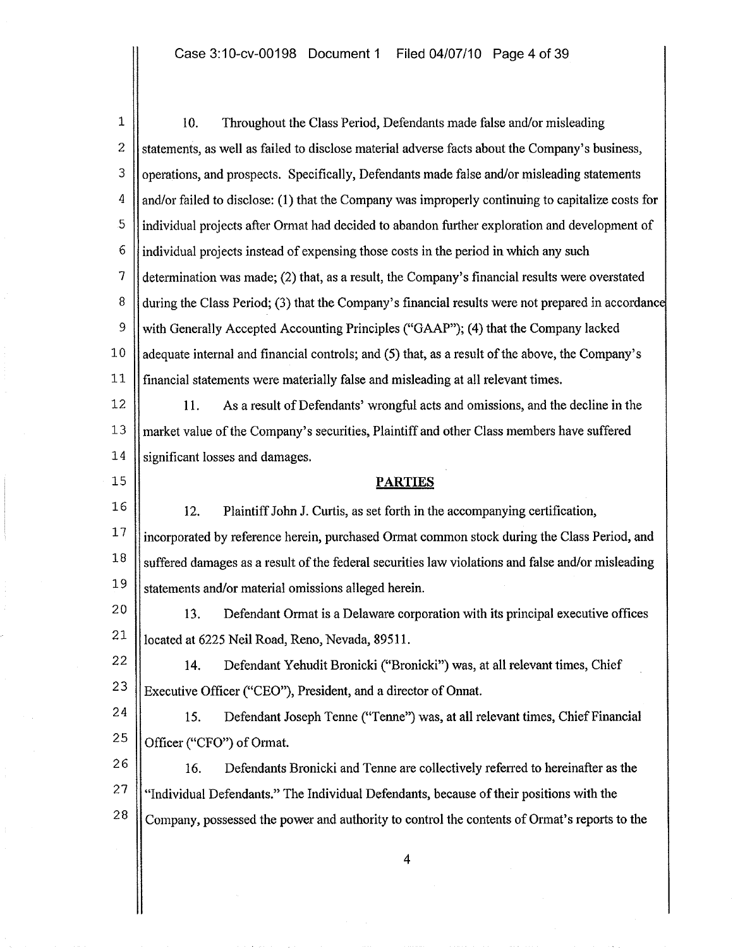$\mathbf{1}$ 2 3 4 5 6 7 8 9 10 11 12 13 14 15 16 17 18 19 20 10. Throughout the Class Period, Defendants made false and/or misleading statements, as well as failed to disclose material adverse facts about the Company's business, operations, and prospects. Specifically, Defendants made false and/or misleading statements and/or failed to disclose: (1) that the Company was improperly continuing to capitalize costs for individual projects after Ormat had decided to abandon fuither exploration and development of individual projects instead of expensing those costs in the period in which any such determination was made; (2) that, as a result, the Company's financial results were overstated during the Class Period; (3) that the Company's financial results were not prepared in accordance with Generally Accepted Accounting Principles ("GAAP"); (4) that the Company lacked adequate internal and financial controls; and (5) that, as a result of the above, the Company's financial statements were materially false and misleading at all relevant times. 11. As a result of Defendants' wrongful acts and omissions, and the decline in the market value of the Company's securities, Plaintiff and other Class members have suffered significant losses and damages. **PARTIES** 12. Plaintiff John J. Curtis, as set forth in the accompanying certification, incorporated by reference herein, purchased Ormat common stock during the Class Period, and suffered damages as a result of the federal securities law violations and false and/or misleading statements and/or material omissions alleged herein.

21 13. Defendant Ormat is a Delaware corporation with its principal executive offices located at 6225 Neil Road, Reno, Nevada, 89511.

22 23 14. Defendant Yehudit Bronicki ("Bronicki") was, at all relevant times, Chief Executive Officer ("CEO"), President, and a director of Onnat.

24 25 15. Defendant Joseph Tenne ("Tenne") was, at all relevant times, Chief Financial Officer ("CFO") of Ormat.

26 27 28 16. Defendants Bronicki and Tenne are collectively referred to hereinafter as the "Individual Defendants." The Individual Defendants, because oftheir positions with the Company, possessed the power and authority to control the contents of Ormat's reports to the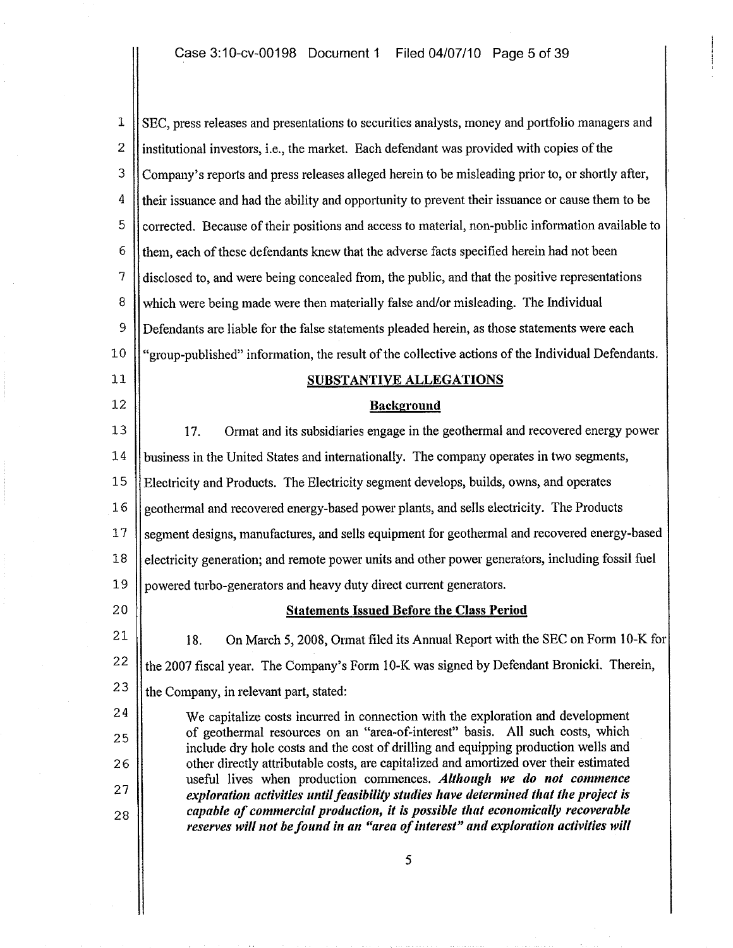$1 \parallel$  SEC, press releases and presentations to securities analysts, money and portfolio managers and 2  $\parallel$  institutional investors, i.e., the market. Each defendant was provided with copies of the 3 Company's reports and press releases alleged herein to be misleading prior to, or shortly after, <sup>4</sup> | their issuance and had the ability and opportunity to prevent their issuance or cause them to be  $\overline{5}$  | corrected. Because of their positions and access to material, non-public information available to  $6$  || them, each of these defendants knew that the adverse facts specified herein had not been 7 disclosed to, and were being concealed from, the public, and that the positive representations 8 Which were being made were then materially false and/or misleading. The Individual 9 Defendants are liable for the false statements pleaded herein, as those statements were each 10 "group-published" information, the result of the collective actions of the Individual Defendants. 11 SUBSTANTIVE ALLEGATIONS<br>12 Background 13 17. Ormat and its subsidiaries engage in the geothermal and recovered energy power 14 business in the United States and internationally. The company operates in two segments, 15 Electricity and Products. The Electricity segment develops, builds, owns, and operates 16 geothermal and recovered energy-based power plants, and sells electricity. The Products 17 Segment designs, manufactures, and sells equipment for geothermal and recovered energy-based 18 | electricity generation; and remote power units and other power generators, including fossil fuel 19 powered turbo-generators and heavy duty direct current generators. 20 || Statements Issued Before the Class Period 21 22 23 24 25 26 27 28 18. On March 5, 2008, Ormat filed its Annual Report with the SEC on Form 10-K for the 2007 fiscal year. The Company's Form 10-K was signed by Defendant Bronicki. Therein, the Company, in relevant part, stated: We capitalize costs incurred in connection with the exploration and development of geothermal resources on an "area-of-interest" basis. All such costs, which include dry hole costs and the cost of drilling and equipping production wells and other directly attributable costs, are capitalized and amortized over their estimated useful lives when production commences. Although we do not commence exploration activities until feasibility studies have determined that the project is capable of commercial production, it is possible that economically recoverable reserves will not be found in an "area of interest" and exploration activities will 5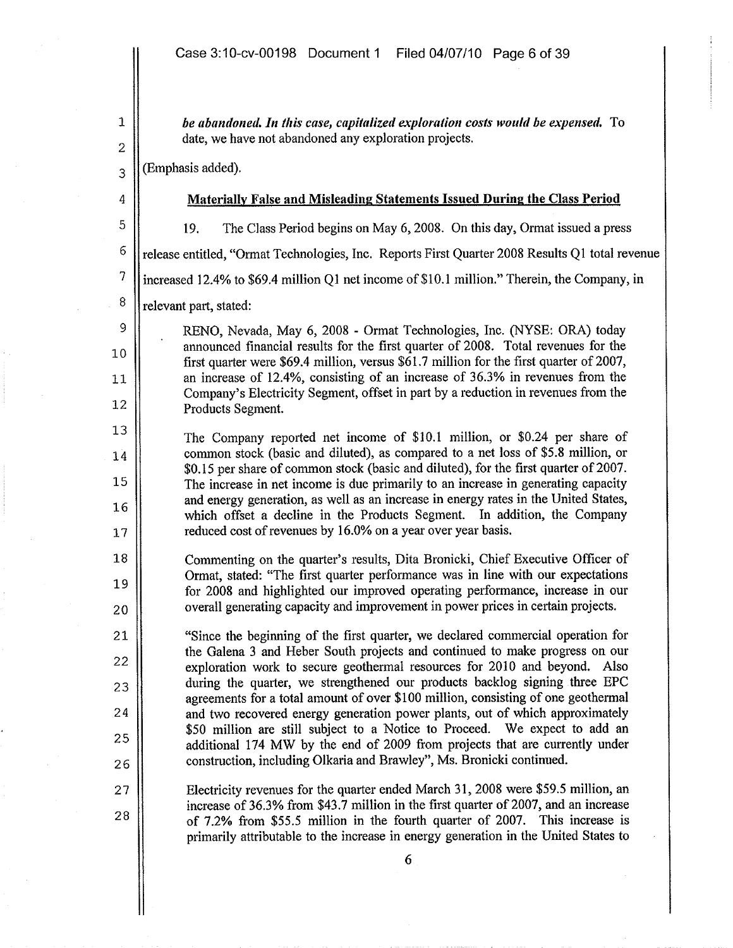be abandoned. In this case, capitalized exploration costs would be expensed. To date, we have not abandoned any exploration projects.

(Emphasis added).

4 5

6

7

8

9

10

11

12

13

14

15

16

17

18

19

20

21

22

23

24

25

26

27

28

1

2

3

## Materially False and Misleading Statements Issued During the Class Period

19. The Class Period begins on May 6, 2008. On this day, Ormat issued a press

release entitled, "Ormat Technologies, Inc. Reports First Quarter 2008 Results Q1 total revenue

increased 12.4% to \$69.4 million Q1 net income of \$10.1 million." Therein, the Company, in

relevant part, stated:

RENO, Nevada, May 6, 2008 - Ormat Technologies, Inc. (NYSE: ORA) today announced financial results for the first quarter of 2008. Total revenues for the first quarter were \$69.4 million, versus \$61.7 million for the first quarter of 2007, an increase of 12.4%, consisting of an increase of 36.3% in revenues from the Company's Electricity Segment, offset in part by a reduction in revenues from the Products Segment.

The Company reported net income of \$10.1 million, or \$0.24 per share of common stock (basic and diluted), as compared to a net loss of \$5.8 million, or \$0.15 per share of common stock (basic and diluted), for the first quarter of 2007. The increase in net income is due primarily to an increase in generating capacity and energy generation, as well as an increase in energy rates in the United States, which offset a decline in the Products Segment. In addition, the Company reduced cost of revenues by 16.0% on a year over year basis.

Commenting on the quarter's results, Dita Bronicki, Chief Executive Officer of Ormat, stated: "The first quarter performance was in line with our expectations for 2008 and highlighted our improved operating performance, increase in our overall generating capacity and improvement in power prices in certain projects.

"Since the beginning of the first quarter, we declared commercial operation for the Galena 3 and Heber South projects and continued to make progress on our exploration work to secure geothermal resources for 2010 and beyond. Also during the quarter, we strengthened our products backlog signing three EPC agreements for a total amount of over \$100 million, consisting of one geothermal and two recovered energy generation power plants, out of which approximately \$50 million are still subject to a Notice to Proceed. We expect to add an additional 174 MW by the end of 2009 from projects that are currently under construction, including Olkaria and Brawley", Ms. Bronicki continued.

Electricity revenues for the quarter ended March 31, 2008 were \$59.5 million, an increase of 36.3% from \$43.7 million in the first quarter of 2007, and an increase of 7.2% from \$55.5 million in the fourth quarter of 2007. This increase is primarily attributable to the increase in energy generation in the United States to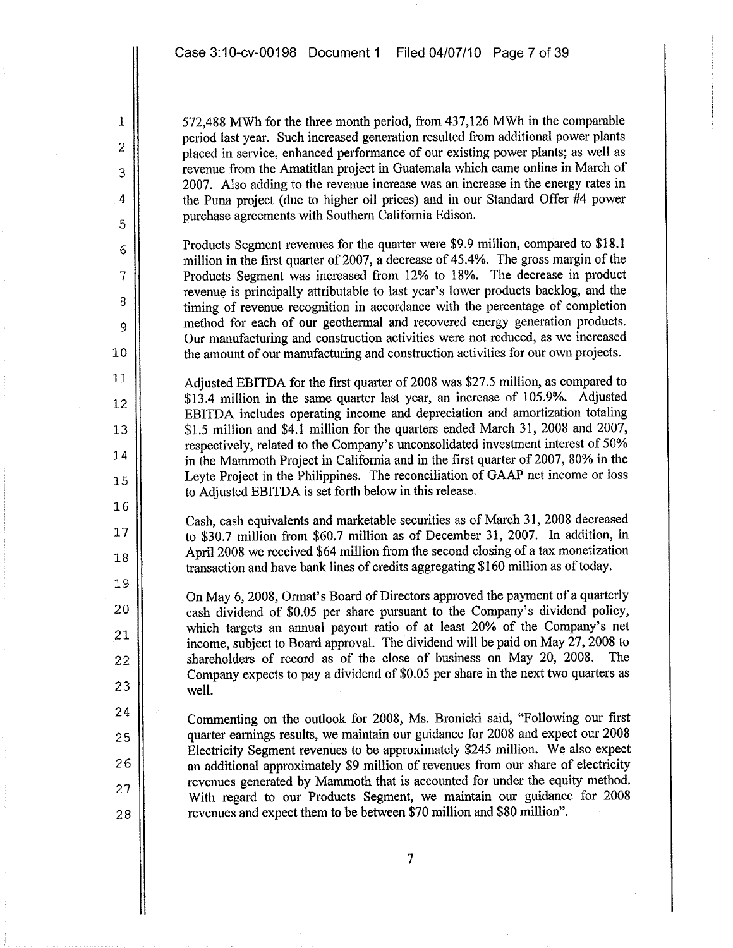1

2

3

4

5

6

7

8

9

10

11

12

13

14

15

16

17

18

19

20

21

22

23

24

25

26

27

28

572,488 MWh for the three month period, from 437,126 MWh in the comparable period last year. Such increased generation resulted from additional power plants placed in service, enhanced performance of our existing power plants; as well as revenue from the Amatitlan project in Guatemala which came online in March of 2007. Also adding to the revenue increase was an increase in the energy rates in the Puna project (due to higher oil prices) and in our Standard Offer #4 power purchase agreements with Southern California Edison.

Products Segment revenues for the quarter were \$9.9 million, compared to \$18.1 million in the first quarter of 2007, a decrease of 45.4%. The gross margin of the Products Segment was increased from 12% to 18%. The decrease in product revenue is principally attributable to last year's lower products backlog, and the timing of revenue recognition in accordance with the percentage of completion method for each of our geothermal and recovered energy generation products. Our manufacturing and construction activities were not reduced, as we increased the amount of our manufacturing and construction activities for our own projects.

Adjusted EBITDA for the first quarter of 2008 was \$27.5 million, as compared to \$13.4 million in the same quarter last year, an increase of 105.9%. Adjusted EBlTDA includes operating income and depreciation and amortization totaling \$1.5 million and \$4.1 million for the quarters ended March 31, 2008 and 2007, respectively, related to the Company's unconsolidated investment interest of 50% in the Mammoth Project in California and in the first quarter of 2007, 80% in the Leyte Project in the Philippines. The reconciliation of GAAP net income or loss to Adjusted EBITDA is set forth below in this release.

Cash, cash equivalents and marketable securities as of March 31, 2008 decreased to \$30.7 million from \$60.7 million as of December 31, 2007. In addition, in April 2008 we received \$64 million from the second closing of a tax monetization transaction and have bank lines of credits aggregating \$160 million as of today.

On May 6, 2008, Ormat's Board of Directors approved the payment of a quarterly cash dividend of \$0.05 per share pursuant to the Company's dividend policy, which targets an annual payout ratio of at least 20% of the Company's net income, subject to Board approvaL. The dividend will be paid on May 27, 2008 to shareholders of record as of the close of business on May 20, 2008. The Company expects to pay a dividend of \$0.05 per share in the next two quarters as welL.

Commenting on the outlook for 2008, Ms. Bronicki said, "Following our first quarter earnings results, we maintain our guidance for 2008 and expect our 2008 Electricity Segment revenues to be approximately \$245 million. We also expect an additional approximately \$9 million of revenues from our share of electricity revenues generated by Mammoth that is accounted for under the equity method. With regard to our Products Segment, we maintain our guidance for 2008 revenues and expect them to be between \$70 million and \$80 million".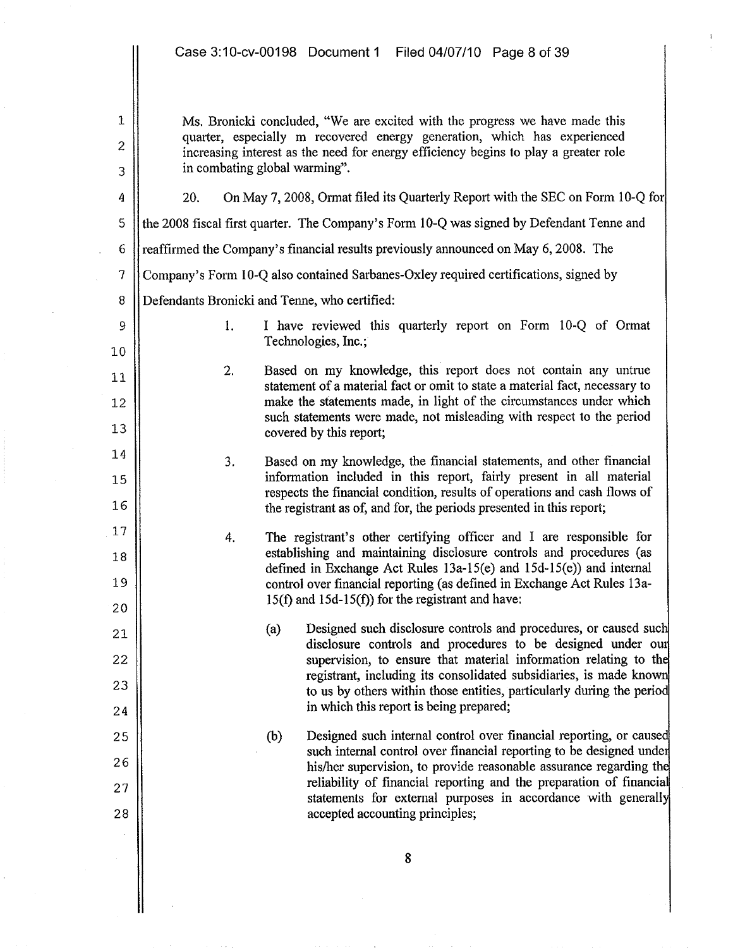|                | Case 3:10-cv-00198 Document 1 Filed 04/07/10 Page 8 of 39                                                                                                       |  |
|----------------|-----------------------------------------------------------------------------------------------------------------------------------------------------------------|--|
| $\mathbf 1$    | Ms. Bronicki concluded, "We are excited with the progress we have made this                                                                                     |  |
| $\overline{c}$ | quarter, especially m recovered energy generation, which has experienced<br>increasing interest as the need for energy efficiency begins to play a greater role |  |
| 3              | in combating global warming".                                                                                                                                   |  |
| 4              | On May 7, 2008, Ormat filed its Quarterly Report with the SEC on Form 10-Q for<br>20.                                                                           |  |
| 5              | the 2008 fiscal first quarter. The Company's Form 10-Q was signed by Defendant Tenne and                                                                        |  |
| 6              | reaffirmed the Company's financial results previously announced on May 6, 2008. The                                                                             |  |
| $\overline{7}$ | Company's Form 10-Q also contained Sarbanes-Oxley required certifications, signed by                                                                            |  |
| $\, 8$         | Defendants Bronicki and Tenne, who certified:                                                                                                                   |  |
| 9              | I have reviewed this quarterly report on Form 10-Q of Ormat<br>1.<br>Technologies, Inc.;                                                                        |  |
| 10<br>11       | Based on my knowledge, this report does not contain any untrue<br>2.                                                                                            |  |
| 12             | statement of a material fact or omit to state a material fact, necessary to<br>make the statements made, in light of the circumstances under which              |  |
| 13             | such statements were made, not misleading with respect to the period<br>covered by this report;                                                                 |  |
| 14             | 3.<br>Based on my knowledge, the financial statements, and other financial                                                                                      |  |
| 15             | information included in this report, fairly present in all material                                                                                             |  |
| 16             | respects the financial condition, results of operations and cash flows of<br>the registrant as of, and for, the periods presented in this report;               |  |
| 17             | The registrant's other certifying officer and I are responsible for<br>4.<br>establishing and maintaining disclosure controls and procedures (as                |  |
| 18             | defined in Exchange Act Rules $13a-15(e)$ and $15d-15(e)$ ) and internal                                                                                        |  |
| 19             | control over financial reporting (as defined in Exchange Act Rules 13a-<br>$15(f)$ and $15d-15(f)$ for the registrant and have:                                 |  |
| 20             | Designed such disclosure controls and procedures, or caused such<br>(a)                                                                                         |  |
| 21<br>22       | disclosure controls and procedures to be designed under our<br>supervision, to ensure that material information relating to the                                 |  |
| 23             | registrant, including its consolidated subsidiaries, is made known                                                                                              |  |
| 24             | to us by others within those entities, particularly during the period<br>in which this report is being prepared;                                                |  |
| 25             | Designed such internal control over financial reporting, or caused<br>(b)                                                                                       |  |
| 26             | such internal control over financial reporting to be designed under<br>his/her supervision, to provide reasonable assurance regarding the                       |  |
| 27             | reliability of financial reporting and the preparation of financial<br>statements for external purposes in accordance with generally                            |  |
| 28             | accepted accounting principles;                                                                                                                                 |  |
|                | 8                                                                                                                                                               |  |
|                |                                                                                                                                                                 |  |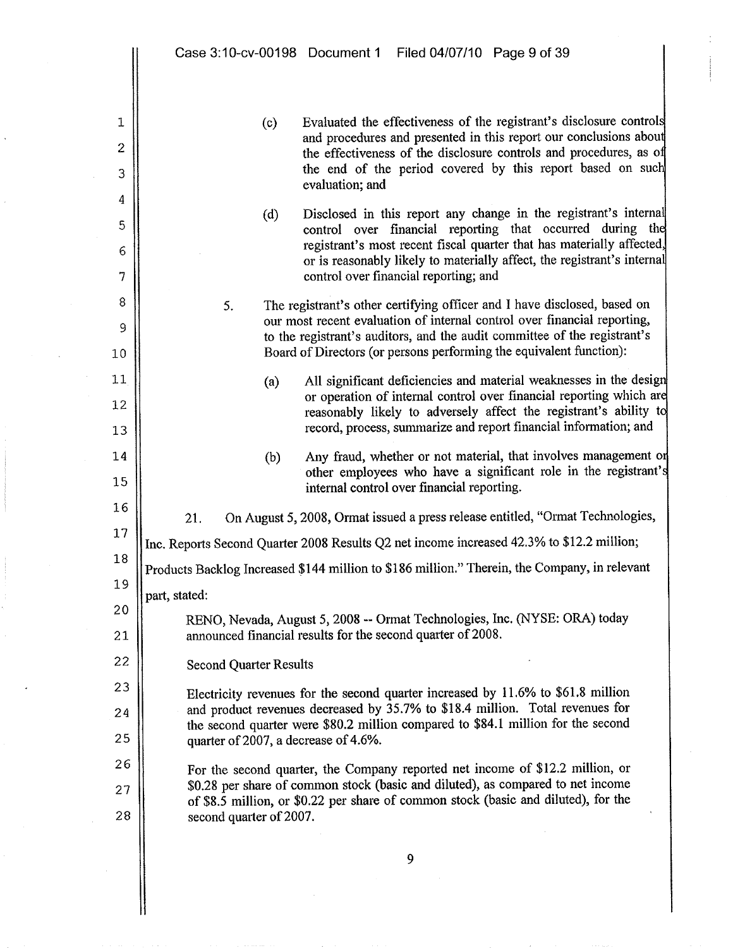$\mathbb{I}$ 

| 1<br>$\overline{c}$<br>3 | Evaluated the effectiveness of the registrant's disclosure controls<br>(c)<br>and procedures and presented in this report our conclusions about<br>the effectiveness of the disclosure controls and procedures, as of<br>the end of the period covered by this report based on such<br>evaluation; and |  |  |
|--------------------------|--------------------------------------------------------------------------------------------------------------------------------------------------------------------------------------------------------------------------------------------------------------------------------------------------------|--|--|
| 4                        | Disclosed in this report any change in the registrant's internal<br>(d)                                                                                                                                                                                                                                |  |  |
| 5                        | control over financial reporting that occurred during the                                                                                                                                                                                                                                              |  |  |
| 6<br>7                   | registrant's most recent fiscal quarter that has materially affected,<br>or is reasonably likely to materially affect, the registrant's internal<br>control over financial reporting; and                                                                                                              |  |  |
| 8                        | The registrant's other certifying officer and I have disclosed, based on<br>5.                                                                                                                                                                                                                         |  |  |
| 9                        | our most recent evaluation of internal control over financial reporting,                                                                                                                                                                                                                               |  |  |
| $10 \,$                  | to the registrant's auditors, and the audit committee of the registrant's<br>Board of Directors (or persons performing the equivalent function):                                                                                                                                                       |  |  |
| 11                       | All significant deficiencies and material weaknesses in the design<br>(a)                                                                                                                                                                                                                              |  |  |
| 12                       | or operation of internal control over financial reporting which are<br>reasonably likely to adversely affect the registrant's ability to                                                                                                                                                               |  |  |
| 13                       | record, process, summarize and report financial information; and                                                                                                                                                                                                                                       |  |  |
| 14                       | Any fraud, whether or not material, that involves management or<br>(b)                                                                                                                                                                                                                                 |  |  |
| 15                       | other employees who have a significant role in the registrant's<br>internal control over financial reporting.                                                                                                                                                                                          |  |  |
| 16                       | On August 5, 2008, Ormat issued a press release entitled, "Ormat Technologies,<br>21.                                                                                                                                                                                                                  |  |  |
| 17                       | Inc. Reports Second Quarter 2008 Results Q2 net income increased 42.3% to \$12.2 million;                                                                                                                                                                                                              |  |  |
| 18                       | Products Backlog Increased \$144 million to \$186 million." Therein, the Company, in relevant                                                                                                                                                                                                          |  |  |
| 19                       | part, stated:                                                                                                                                                                                                                                                                                          |  |  |
| 20                       | RENO, Nevada, August 5, 2008 -- Ormat Technologies, Inc. (NYSE: ORA) today                                                                                                                                                                                                                             |  |  |
| 21                       | announced financial results for the second quarter of 2008.                                                                                                                                                                                                                                            |  |  |
| 22                       | <b>Second Quarter Results</b>                                                                                                                                                                                                                                                                          |  |  |
| 23                       | Electricity revenues for the second quarter increased by 11.6% to \$61.8 million                                                                                                                                                                                                                       |  |  |
| 24                       | and product revenues decreased by 35.7% to \$18.4 million. Total revenues for<br>the second quarter were \$80.2 million compared to \$84.1 million for the second                                                                                                                                      |  |  |
| 25                       | quarter of 2007, a decrease of 4.6%.                                                                                                                                                                                                                                                                   |  |  |
| 26                       | For the second quarter, the Company reported net income of \$12.2 million, or                                                                                                                                                                                                                          |  |  |
| 27                       | \$0.28 per share of common stock (basic and diluted), as compared to net income<br>of \$8.5 million, or \$0.22 per share of common stock (basic and diluted), for the                                                                                                                                  |  |  |
| 28                       | second quarter of 2007.                                                                                                                                                                                                                                                                                |  |  |
|                          | 9                                                                                                                                                                                                                                                                                                      |  |  |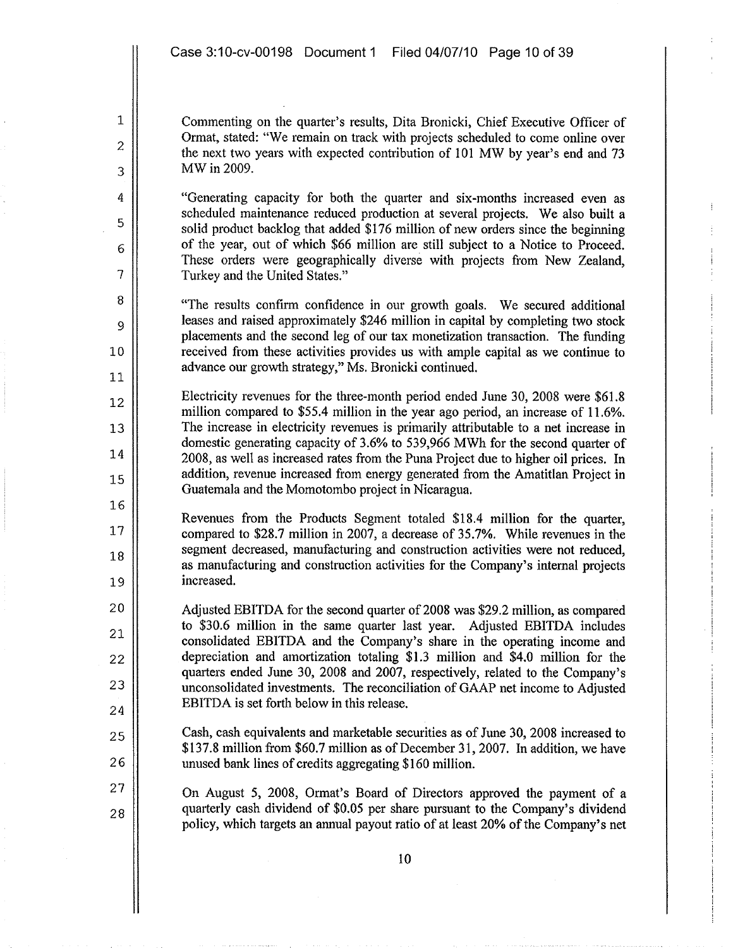1

2

3

4

5

6

7

8

9

10

11

12

13

14

15

16

17

18

19

20

21

22

23

24

25

26

27

28

Commenting on the quarter's results, Dita Bronicki, Chief Executive Officer of Ormat, stated: "We remain on track with projects scheduled to come online over the next two years with expected contribution of 101 MW by year's end and 73 MWin 2009.

"Generating capacity for both the quarter and six-months increased even as scheduled maintenance reduced production at several projects. We also built a solid product backlog that added \$176 million of new orders since the beginning of the year, out of which \$66 million are still subject to a Notice to Proceed. These orders were geographically diverse with projects from New Zealand, Turkey and the United States."

"The results confirm confidence in our growth goals. We secured additional leases and raised approximately \$246 million in capital by completing two stock placements and the second leg of our tax monetization transaction. The funding received from these activities provides us with ample capital as we continue to advance our growth strategy," Ms. Bronicki continued.

Electricity revenues for the three-month period ended June 30, 2008 were \$61.8 million compared to \$55.4 million in the year ago period, an increase of 11.6%. The increase in electricity revenues is primarily attributable to a net increase in domestic generating capacity of 3.6% to 539,966 MWh for the second quarter of 2008, as well as increased rates from the Puna Project due to higher oil prices. In addition, revenue increased from energy generated from the Amatitlan Project in Guatemala and the Momotombo project in Nicaragua.

Revenues from the Products Segment totaled \$18.4 million for the quarter, compared to \$28.7 million in 2007, a decrease of 35.7%. While revenues in the segment decreased, manufacturing and construction activities were not reduced. as manufacturing and construction activities for the Company's internal projects increased.

Adjusted EBITDA for the second quarter of 2008 was \$29.2 million, as compared to \$30.6 million in the same quarter last year. Adjusted EBITDA includes consolidated EBITDA and the Company's share in the operating income and depreciation and amortization totaling \$1.3 million and \$4.0 million for the quarters ended June 30, 2008 and 2007, respectively, related to the Company's unconsolidated investments. The reconciliation of GAAP net income to Adjusted EBlTDA is set forth below in this release.

Cash, cash equivalents and marketable securities as of June 30, 2008 increased to \$137.8 million from \$60.7 million as of December 31, 2007. In addition, we have unused bank lines of credits aggregating \$160 million.

On August 5, 2008, Ormat's Board of Directors approved the payment of a quarterly cash dividend of \$0.05 per share pursuant to the Company's dividend policy, which targets an annual payout ratio of at least 20% of the Company's net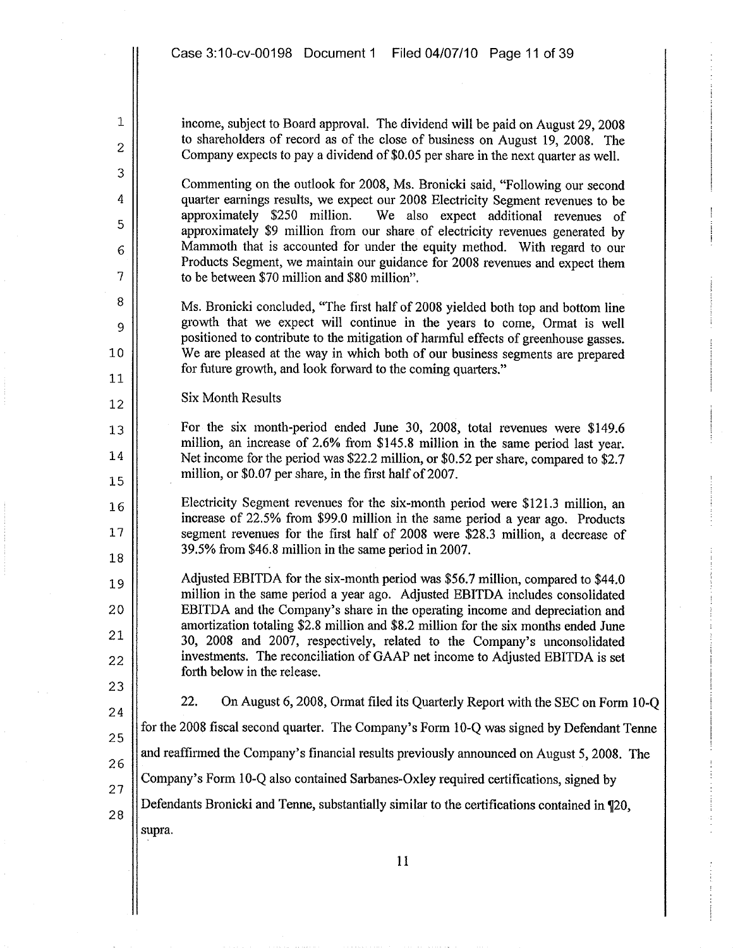income, subject to Board approval. The dividend will be paid on August 29,2008 to shareholders of record as of the close of business on August 19, 2008. The Company expects to pay a dividend of \$0.05 per share in the next quarter as welL.

Commenting on the outlook for 2008, Ms. Bronicki said, "Following our second quarter earnings results, we expect our 2008 Electricity Segment revenues to be approximately \$250 million. We also expect additional revenues of approximately \$9 million from our share of electricity revenues generated by Mammoth that is accounted for under the equity method. With regard to our Products Segment, we maintain our guidance for 2008 revenues and expect them to be between \$70 million and \$80 million".

Ms. Bronicki concluded, "The first half of 2008 yielded both top and bottom line growth that we expect will continue in the years to come, Ormat is well positioned to contribute to the mitigation of harmful effects of greenhouse gasses. We are pleased at the way in which both of our business segments are prepared for future growth, and look forward to the coming quarters."

Six Month Results

For the six month-period ended June 30, 2008, total revenues were \$149.6 million, an increase of 2.6% from \$145.8 million in the same period last year. Net income for the period was \$22.2 million, or \$0.52 per share, compared to \$2.7 million, or \$0.07 per share, in the first half of 2007.

Electricity Segment revenues for the six-month period were \$121.3 million, an increase of 22.5% from \$99.0 million in the same period a year ago. Products segment revenues for the first half of 2008 were \$28.3 million, a decrease of 39.5% from \$46.8 million in the same period in 2007.

Adjusted EBITDA for the six-month period was \$56.7 million, compared to \$44.0 million in the same period a year ago. Adjusted EBITDA includes consolidated EBITDA and the Company's share in the operating income and depreciation and amortization totaling \$2.8 million and \$8.2 million for the six months ended June 30, 2008 and 2007, respectively, related to the Company's unconsolidated investments. The reconciliation of GAAP net income to Adjusted EBITDA is set forth below in the release.

23 24

27

1

2

3

4

5

6

7

8

9

10

11

12

13

14

15

16

17

18

19

20

21

22

22. On August 6, 2008, Ormat filed its Quarterly Report with the SEC on Form i O-Q

25 for the 2008 fiscal second quarter. The Company's Form 10-Q was signed by Defendant Tenne

26 and reaffirmed the Company's financial results previously announced on August 5, 2008. The

Company's Form 1O-Q also contained Sarbanes-Oxley required certifications, signed by

Defendants Bronicki and Tenne, substantially similar to the certifications contained in  $\mathbb{Z}^2$ . 28 supra.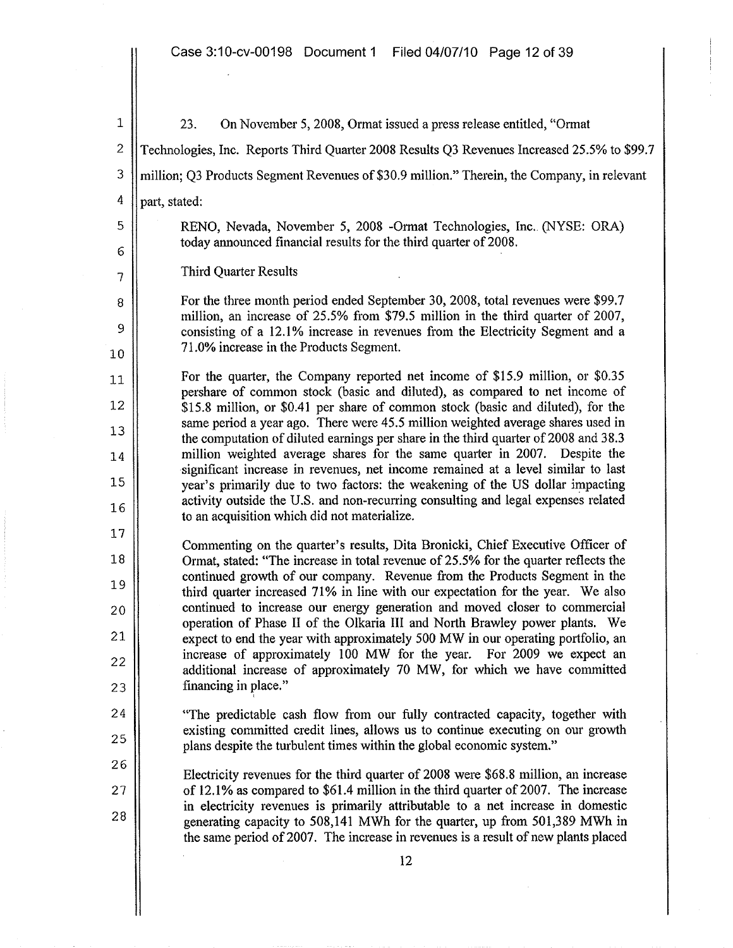i 2 3 4 23. On November 5, 2008, Ormat issued a press release entitled, "Ormat Teclinologies, Inc. Reports Third Quarter 2008 Results Q3 Revenues Increased 25.5% to \$99.7 million; Q3 Products Segment Revenues of \$30.9 million." Therein, the Company, in relevant part, stated: 5 | RENO, Nevada, November 5, 2008 -Ormat Technologies, Inc. (NYSE: ORA) today announced financial results for the third quarter of 2008. 6 7 8 9 10 Third Quarter Results For the three month period ended September 30, 2008, total revenues were \$99.7 million, an increase of 25.5% from \$79.5 million in the third quarter of 2007, consisting of a 12.1% increase in revenues from the Electricity Segment and a 71.0% increase in the Products Segment. 11 12 13 14 For the quarter, the Company reported net income of \$15.9 million, or \$0.35 pershare of common stock (basic and diluted), as compared to net income of \$15.8 million, or \$0.41 per share of common stock (basic and diluted), for the same period a year ago. There were 45.5 million weighted average shares used in the computation of diluted earnings per share in the third quarter of 2008 and 38.3 million weighted average shares for the same quarter in 2007. Despite the significant increase in revenues, net income remained at a level similar to last year's primarily due to two factors: the weakening of the US dollar impacting activity outside the U.S. and non-recurring consulting and legal expenses related to an acquisition which did not materialize. 15 16 17 18 19 20 21 22 23 24 25 26 27 28 Commenting on the quarter's results, Dita Bronicki, Chief Executive Officer of Ormat, stated: "The increase in total revenue of 25.5% for the quarter reflects the continued growth of our company. Revenue from the Products Segment in the third quarter increased 71% in line with our expectation for the year. We also continued to increase our energy generation and moved closer to commercial operation of Phase II of the Olkaria III and North Brawley power plants. We expect to end the year with approximately 500 MW in our operating portfolio, an increase of approximately 100 MW for the year. For 2009 we expect an additional increase of approximately 70 MW, for which we have committed financing in place." i "The predictable cash flow from our fully contracted capacity, together with existing committed credit lines, allows us to continue executing on our growth plans despite the turbulent times within the global economic system." Electricity revenues for the third quarter of 2008 were \$68.8 million, an increase of 12.l % as compared to \$61.4 million in the third quarter of 2007. The increase in electricity revenues is primarily attributable to a net increase in domestic generating capacity to 508,141 MWh for the quarter, up from 501,389 MWh in the same period of 2007. The increase in revenues is a result of new plants placed 12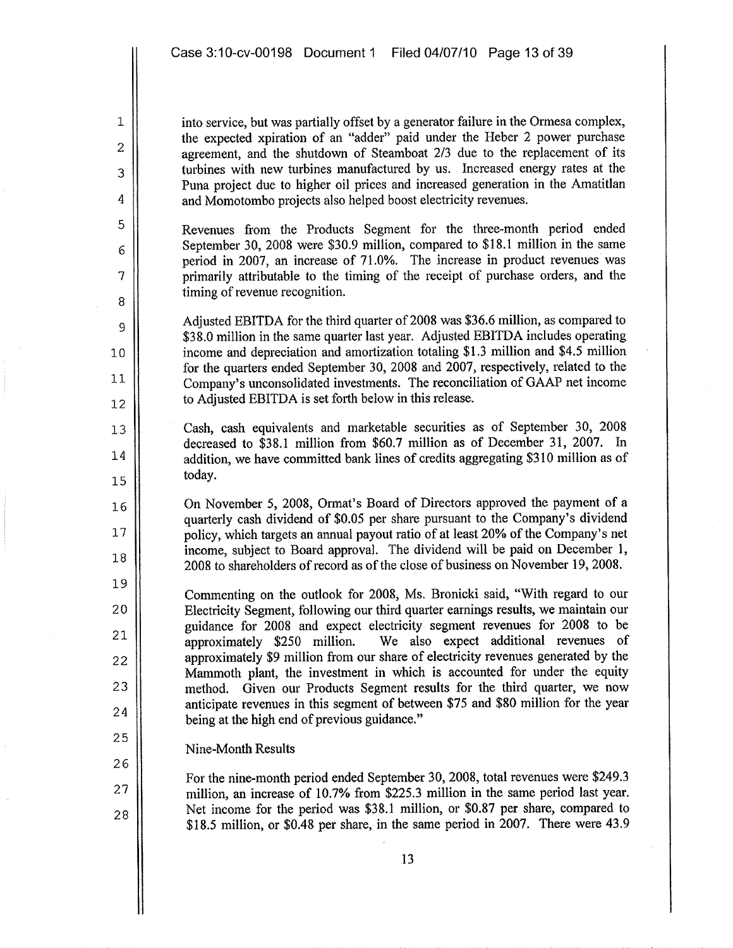into service, but was partially offset by a generator failure in the Ormesa complex, the expected xpiration of an "adder" paid under the Heber 2 power purchase agreement, and the shutdown of Steamboat 2/3 due to the replacement of its turbines with new turbines manufactured by us. Increased energy rates at the Puna project due to higher oil prices and increased generation in the Amatitlan and Momotombo projects also helped boost electricity revenues.

Revenues from the Products Segment for the three-month period ended September 30, 2008 were \$30.9 million, compared to \$18.1 million in the same period in 2007, an increase of 71.0%. The increase in product revenues was primarily attributable to the timing of the receipt of purchase orders, and the timing of revenue recognition.

Adjusted EBITDA for the third quarter of 2008 was \$36.6 million, as compared to \$38.0 million in the same quarter last year. Adjusted EBITDA includes operating income and depreciation and amortization totaling \$1.3 million and \$4.5 million for the quarters ended September 30, 2008 and 2007, respectively, related to the Company's unconsolidated investments. The reconciliation of GAAP net income to Adjusted EBITDA is set forth below in this release.

Cash, cash equivalents and marketable securities as of September 30, 2008 decreased to \$38.1 million from \$60.7 million as of December 3l, 2007. In addition, we have committed bank lines of credits aggregating \$310 million as of today.

On November 5, 2008, Ormat's Board of Directors approved the payment of a quarterly cash dividend of \$0.05 per share pursuant to the Company's dividend policy, which targets an annual payout ratio of at least 20% of the Company's net income, subject to Board approval. The dividend will be paid on December 1, 2008 to shareholders of record as of the close of business on November 19,2008.

Commenting on the outlook for 2008, Ms. Bronicki said, "With regard to our Electricity Segment, following our third quarter earnings results, we maintain our guidance for 2008 and expect electricity segment revenues for 2008 to be approximately \$250 million. We also expect additional revenues of We also expect additional revenues of approximately \$9 million from our share of electricity revenues generated by the Mammoth plant, the investment in which is accounted for under the equity method. Given our Products Segment results for the third quarter, we now anticipate revenues in this segment of between \$75 and \$80 million for the year being at the high end of previous guidance."

## Nine-Month Results

1

2

3

4

5

6

7

8

9

10

11

12

13

14

15

16

17

18

19

20

21

22

23

24

25

26

27

28

For the nine-month period ended September 30, 2008, total revenues were \$249.3 million, an increase of 10.7% from \$225.3 million in the same period last year. Net income for the period was \$38.1 million, or \$0.87 per share, compared to \$18.5 million, or \$0.48 per share, in the same period in 2007. There were 43.9